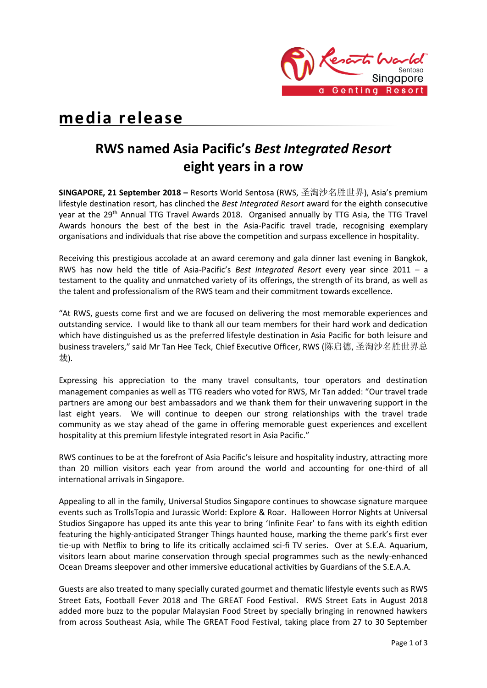

# **media release**

## **RWS named Asia Pacific's** *Best Integrated Resort* **eight years in a row**

**SINGAPORE, 21 September 2018 –** Resorts World Sentosa (RWS, 圣淘沙名胜世界), Asia's premium lifestyle destination resort, has clinched the *Best Integrated Resort* award for the eighth consecutive year at the 29<sup>th</sup> Annual TTG Travel Awards 2018. Organised annually by TTG Asia, the TTG Travel Awards honours the best of the best in the Asia-Pacific travel trade, recognising exemplary organisations and individuals that rise above the competition and surpass excellence in hospitality.

Receiving this prestigious accolade at an award ceremony and gala dinner last evening in Bangkok, RWS has now held the title of Asia-Pacific's *Best Integrated Resort* every year since 2011 – a testament to the quality and unmatched variety of its offerings, the strength of its brand, as well as the talent and professionalism of the RWS team and their commitment towards excellence.

"At RWS, guests come first and we are focused on delivering the most memorable experiences and outstanding service. I would like to thank all our team members for their hard work and dedication which have distinguished us as the preferred lifestyle destination in Asia Pacific for both leisure and business travelers," said Mr Tan Hee Teck, Chief Executive Officer, RWS (陈启德, 圣淘沙名胜世界总 裁).

Expressing his appreciation to the many travel consultants, tour operators and destination management companies as well as TTG readers who voted for RWS, Mr Tan added: "Our travel trade partners are among our best ambassadors and we thank them for their unwavering support in the last eight years. We will continue to deepen our strong relationships with the travel trade community as we stay ahead of the game in offering memorable guest experiences and excellent hospitality at this premium lifestyle integrated resort in Asia Pacific."

RWS continues to be at the forefront of Asia Pacific's leisure and hospitality industry, attracting more than 20 million visitors each year from around the world and accounting for one-third of all international arrivals in Singapore.

Appealing to all in the family, Universal Studios Singapore continues to showcase signature marquee events such as TrollsTopia and Jurassic World: Explore & Roar. Halloween Horror Nights at Universal Studios Singapore has upped its ante this year to bring 'Infinite Fear' to fans with its eighth edition featuring the highly-anticipated Stranger Things haunted house, marking the theme park's first ever tie-up with Netflix to bring to life its critically acclaimed sci-fi TV series. Over at S.E.A. Aquarium, visitors learn about marine conservation through special programmes such as the newly-enhanced Ocean Dreams sleepover and other immersive educational activities by Guardians of the S.E.A.A.

Guests are also treated to many specially curated gourmet and thematic lifestyle events such as RWS Street Eats, Football Fever 2018 and The GREAT Food Festival. RWS Street Eats in August 2018 added more buzz to the popular Malaysian Food Street by specially bringing in renowned hawkers from across Southeast Asia, while The GREAT Food Festival, taking place from 27 to 30 September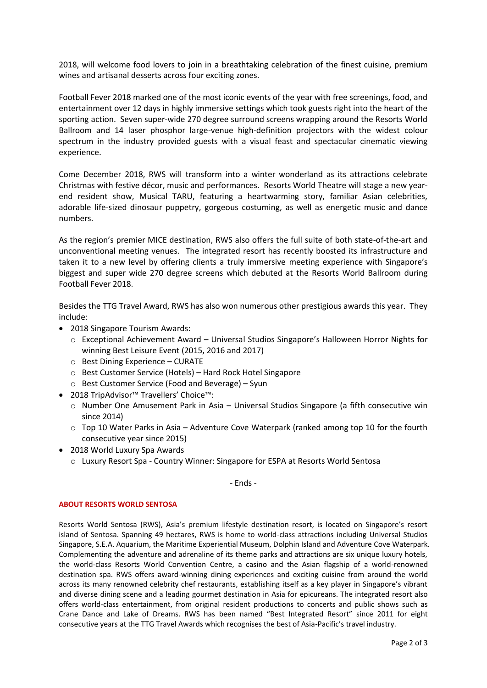2018, will welcome food lovers to join in a breathtaking celebration of the finest cuisine, premium wines and artisanal desserts across four exciting zones.

Football Fever 2018 marked one of the most iconic events of the year with free screenings, food, and entertainment over 12 days in highly immersive settings which took guests right into the heart of the sporting action. Seven super-wide 270 degree surround screens wrapping around the Resorts World Ballroom and 14 laser phosphor large-venue high-definition projectors with the widest colour spectrum in the industry provided guests with a visual feast and spectacular cinematic viewing experience.

Come December 2018, RWS will transform into a winter wonderland as its attractions celebrate Christmas with festive décor, music and performances. Resorts World Theatre will stage a new yearend resident show, Musical TARU, featuring a heartwarming story, familiar Asian celebrities, adorable life-sized dinosaur puppetry, gorgeous costuming, as well as energetic music and dance numbers.

As the region's premier MICE destination, RWS also offers the full suite of both state-of-the-art and unconventional meeting venues. The integrated resort has recently boosted its infrastructure and taken it to a new level by offering clients a truly immersive meeting experience with Singapore's biggest and super wide 270 degree screens which debuted at the Resorts World Ballroom during Football Fever 2018.

Besides the TTG Travel Award, RWS has also won numerous other prestigious awards this year. They include:

- 2018 Singapore Tourism Awards:
	- o Exceptional Achievement Award Universal Studios Singapore's Halloween Horror Nights for winning Best Leisure Event (2015, 2016 and 2017)
	- o Best Dining Experience CURATE
	- o Best Customer Service (Hotels) Hard Rock Hotel Singapore
	- o Best Customer Service (Food and Beverage) Syun
- 2018 TripAdvisor™ Travellers' Choice™:
	- o Number One Amusement Park in Asia Universal Studios Singapore (a fifth consecutive win since 2014)
	- o Top 10 Water Parks in Asia Adventure Cove Waterpark (ranked among top 10 for the fourth consecutive year since 2015)
- 2018 World Luxury Spa Awards
	- o Luxury Resort Spa Country Winner: Singapore for ESPA at Resorts World Sentosa

- Ends -

#### **ABOUT RESORTS WORLD SENTOSA**

Resorts World Sentosa (RWS), Asia's premium lifestyle destination resort, is located on Singapore's resort island of Sentosa. Spanning 49 hectares, RWS is home to world-class attractions including Universal Studios Singapore, S.E.A. Aquarium, the Maritime Experiential Museum, Dolphin Island and Adventure Cove Waterpark. Complementing the adventure and adrenaline of its theme parks and attractions are six unique luxury hotels, the world-class Resorts World Convention Centre, a casino and the Asian flagship of a world-renowned destination spa. RWS offers award-winning dining experiences and exciting cuisine from around the world across its many renowned celebrity chef restaurants, establishing itself as a key player in Singapore's vibrant and diverse dining scene and a leading gourmet destination in Asia for epicureans. The integrated resort also offers world-class entertainment, from original resident productions to concerts and public shows such as Crane Dance and Lake of Dreams. RWS has been named "Best Integrated Resort" since 2011 for eight consecutive years at the TTG Travel Awards which recognises the best of Asia-Pacific's travel industry.